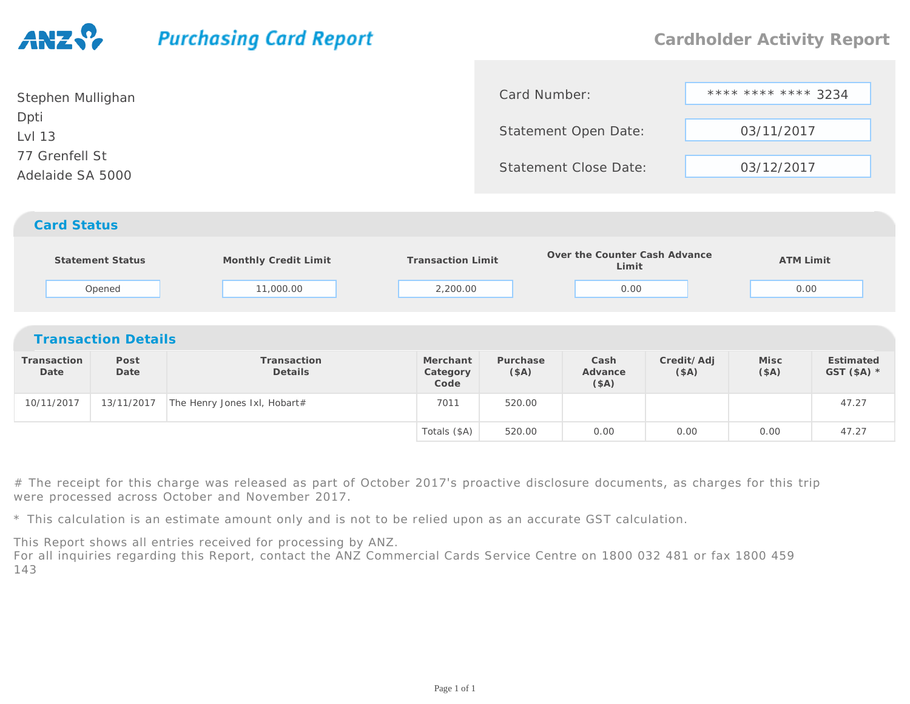## **Purchasing Card Report**

| Stephen Mullighan | Card Number:                 | **** **** **** 3234 |  |  |
|-------------------|------------------------------|---------------------|--|--|
| Dpti              |                              |                     |  |  |
| Lvl 13            | Statement Open Date:         | 03/11/2017          |  |  |
| 77 Grenfell St    | <b>Statement Close Date:</b> |                     |  |  |
| Adelaide SA 5000  |                              | 03/12/2017          |  |  |
|                   |                              |                     |  |  |
|                   |                              |                     |  |  |

## *Card Status*

| <b>Statement Status</b><br>Opened |              | Monthly Credit Limit         | <b>Transaction Limit</b><br>2,200.00 |                  | Over the Counter Cash Advance<br>Limit |                    | <b>ATM Limit</b> |                           |  |  |
|-----------------------------------|--------------|------------------------------|--------------------------------------|------------------|----------------------------------------|--------------------|------------------|---------------------------|--|--|
|                                   |              | 11,000.00                    |                                      |                  | 0.00                                   |                    |                  | 0.00                      |  |  |
| <b>Transaction Details</b>        |              |                              |                                      |                  |                                        |                    |                  |                           |  |  |
| Transaction<br>Date               | Post<br>Date | Transaction<br>Details       | Merchant<br>Category<br>Code         | Purchase<br>(SA) | Cash<br>Advance<br>(\$A)               | Credit/Adj<br>(SA) | Misc<br>(SA)     | Estimated<br>GST $(SA)$ * |  |  |
| 10/11/2017                        | 13/11/2017   | The Henry Jones Ixl, Hobart# | 7011                                 | 520.00           |                                        |                    |                  | 47.27                     |  |  |
|                                   |              |                              | Totals (\$A)                         | 520.00           | 0.00                                   | 0.00               | 0.00             | 47.27                     |  |  |

# The receipt for this charge was released as part of October 2017's proactive disclosure documents, as charges for this trip were processed across October and November 2017.

\* This calculation is an estimate amount only and is not to be relied upon as an accurate GST calculation.

This Report shows all entries received for processing by ANZ. For all inquiries regarding this Report, contact the ANZ Commercial Cards Service Centre on <sup>1800</sup> <sup>032</sup> <sup>481</sup> or fax <sup>1800</sup> <sup>459</sup> 143